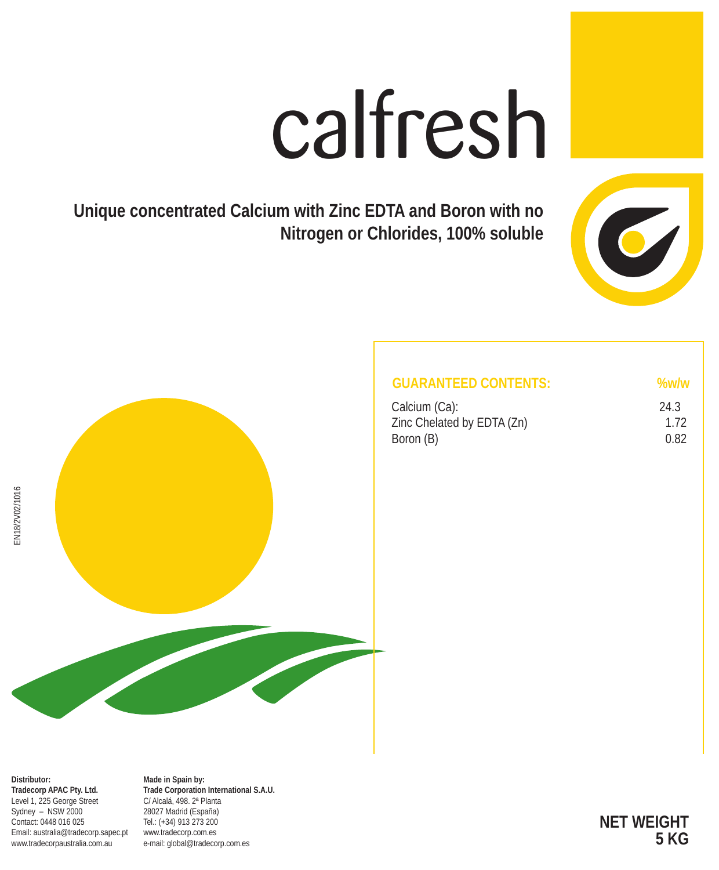# calfresh

**Unique concentrated Calcium with Zinc EDTA and Boron with no Nitrogen or Chlorides, 100% soluble**



| <b>GUARANTEED CONTENTS:</b> |  |
|-----------------------------|--|
|-----------------------------|--|

| Calcium (Ca):              | 24.3 |
|----------------------------|------|
| Zinc Chelated by EDTA (Zn) | 1.72 |
| Boron (B)                  | 0.82 |



**Distributor: Tradecorp APAC Pty. Ltd.** Level 1, 225 George Street Sydney – NSW 2000 Contact: 0448 016 025 Email: australia@tradecorp.sapec.pt www.tradecorpaustralia.com.au

**Made in Spain by: Trade Corporation International S.A.U.** C/ Alcalá, 498. 2ª Planta 28027 Madrid (España) Tel.: (+34) 913 273 200 www.tradecorp.com.es e-mail: global@tradecorp.com.es

**NET WEIGHT 5 KG**